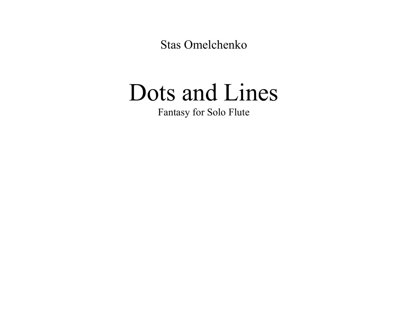**Stas Omelchenko** 

## Dots and Lines

Fantasy for Solo Flute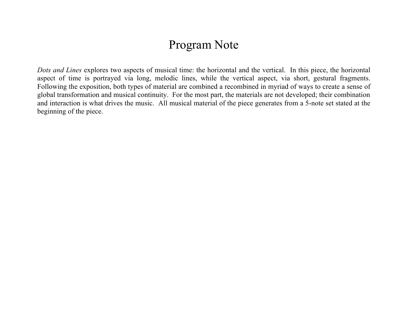## Program Note

*Dots and Lines* explores two aspects of musical time: the horizontal and the vertical. In this piece, the horizontal aspect of time is portrayed via long, melodic lines, while the vertical aspect, via short, gestural fragments. Following the exposition, both types of material are combined a recombined in myriad of ways to create a sense of global transformation and musical continuity. For the most part, the materials are not developed; their combination and interaction is what drives the music. All musical material of the piece generates from a 5-note set stated at the beginning of the piece.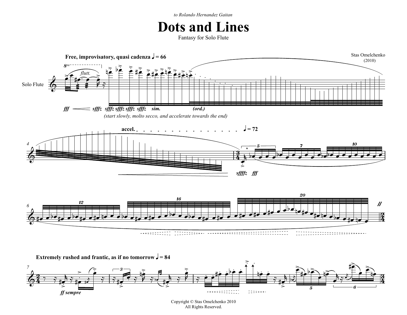*to Rolando Hernandez Gaitan*

## **Dots and Lines**

Fantasy for Solo Flute



Copyright © Stas Omelchenko 2010 All Rights Reserved.

 $\begin{minipage}{.4\linewidth} \begin{tabular}{l} \multicolumn{2}{c}{\textbf{1}} & \multicolumn{2}{c}{\textbf{2}} & \multicolumn{2}{c}{\textbf{3}} & \multicolumn{2}{c}{\textbf{4}} & \multicolumn{2}{c}{\textbf{5}} & \multicolumn{2}{c}{\textbf{6}} & \multicolumn{2}{c}{\textbf{7}} & \multicolumn{2}{c}{\textbf{8}} & \multicolumn{2}{c}{\textbf{9}} & \multicolumn{2}{c}{\textbf{1}} & \multicolumn{2}{c}{\textbf{1}} & \multicolumn{2}{c}{\textbf{1}} & \multicolumn{2}{c$ 

 $\frac{1}{\gamma}$   $\frac{1}{\gamma}$ 

<u>3្</u> 4

5 6

œ j

ح<br>و ادا ا k

—<br>⊱  $\frac{2}{1}$ 

 $\begin{array}{cccccccccc} \square & \square & \square & \square & \square & \square & \cdots & \square \end{array}$ 

*ff sempre*

<u>> 1</u><br>#<del>e 7#e #</del>  $\frac{1}{e}$ .

#

≈<br>≈ ∛ †<br>≈

 $\frac{2}{1}$ 

 $\frac{2}{7}$ 

œ

—<br>⊱  $\frac{2}{1}$ 

 $\frac{2}{1}$ 

<u>2</u>  $\frac{2}{4}$ 

 $\frac{3}{7}$   $\frac{3}{7}$   $\frac{4}{7}$   $\frac{6}{7}$ 

 $\Phi$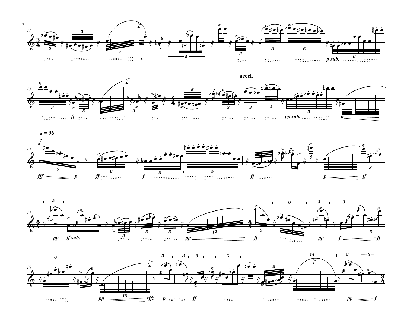